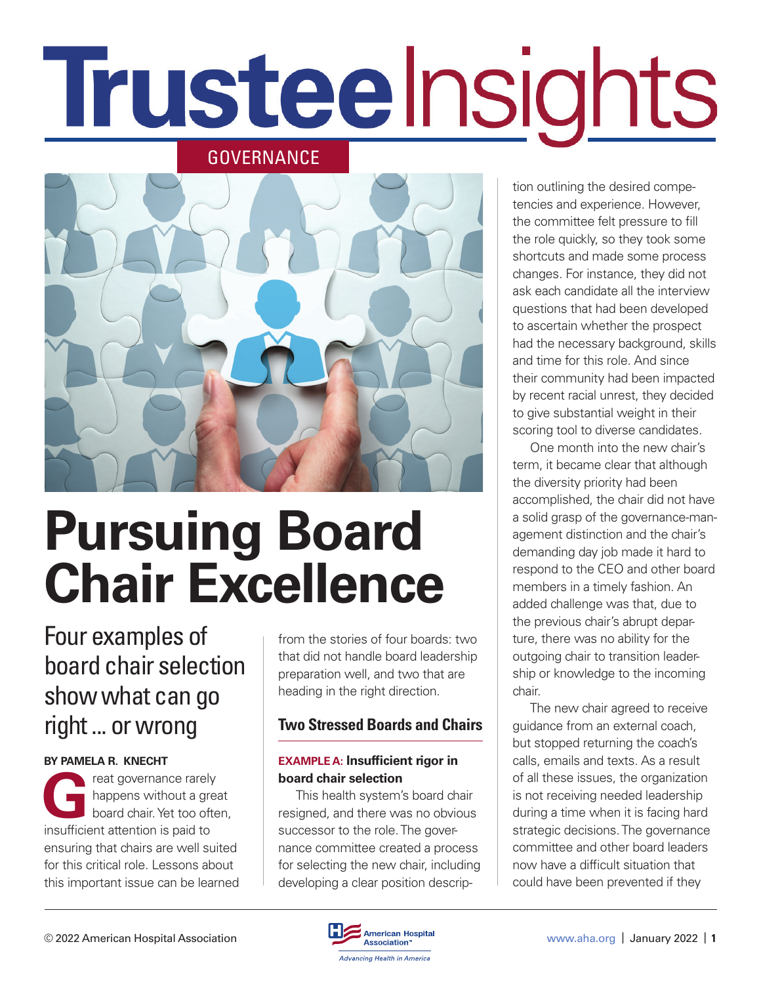# Trusteelnsights





## **Pursuing Board Chair Excellence**

### Four examples of board chair selection show what can go right ... or wrong

#### **BY PAMELA R. KNECHT**

reat governance rarely happens without a great board chair. Yet too often, insufficient attention is paid to ensuring that chairs are well suited for this critical role. Lessons about this important issue can be learned from the stories of four boards: two that did not handle board leadership preparation well, and two that are heading in the right direction.

#### **Two Stressed Boards and Chairs**

#### **EXAMPLE A: Insufficient rigor in board chair selection**

This health system's board chair resigned, and there was no obvious successor to the role. The governance committee created a process for selecting the new chair, including developing a clear position description outlining the desired competencies and experience. However, the committee felt pressure to fill the role quickly, so they took some shortcuts and made some process changes. For instance, they did not ask each candidate all the interview questions that had been developed to ascertain whether the prospect had the necessary background, skills and time for this role. And since their community had been impacted by recent racial unrest, they decided to give substantial weight in their scoring tool to diverse candidates.

One month into the new chair's term, it became clear that although the diversity priority had been accomplished, the chair did not have a solid grasp of the governance-management distinction and the chair's demanding day job made it hard to respond to the CEO and other board members in a timely fashion. An added challenge was that, due to the previous chair's abrupt departure, there was no ability for the outgoing chair to transition leadership or knowledge to the incoming chair.

The new chair agreed to receive guidance from an external coach, but stopped returning the coach's calls, emails and texts. As a result of all these issues, the organization is not receiving needed leadership during a time when it is facing hard strategic decisions. The governance committee and other board leaders now have a difficult situation that could have been prevented if they

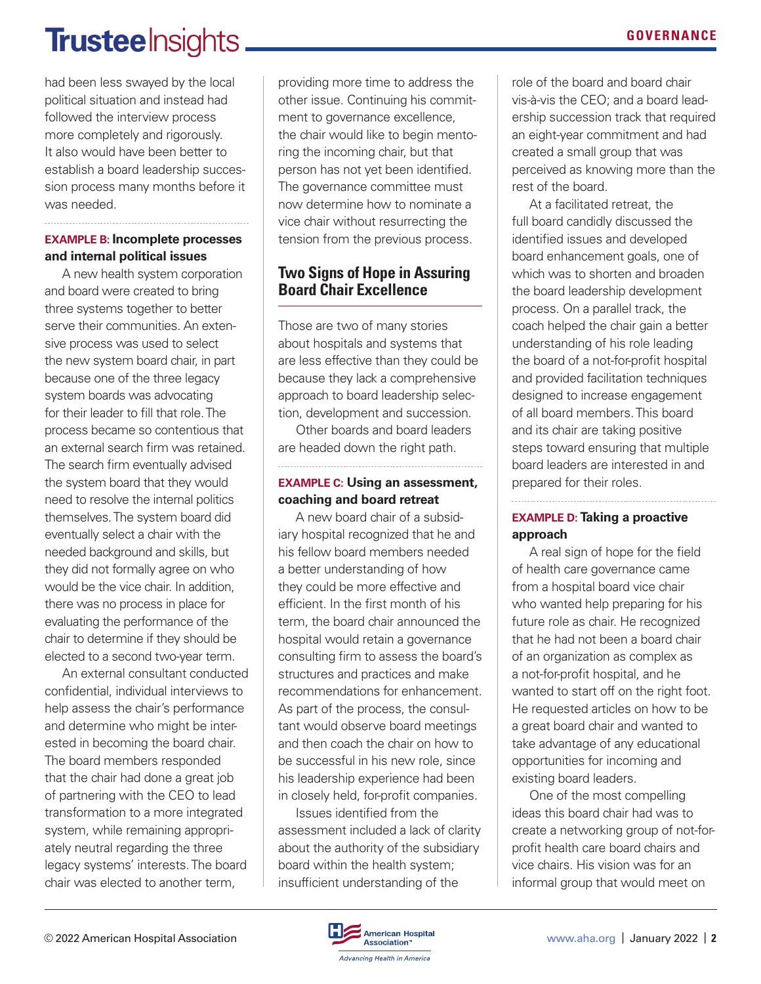## **Trusteelnsights**

had been less swayed by the local political situation and instead had followed the interview process more completely and rigorously. It also would have been better to establish a board leadership succession process many months before it was needed.

#### **EXAMPLE B: Incomplete processes and internal political issues**

A new health system corporation and board were created to bring three systems together to better serve their communities. An extensive process was used to select the new system board chair, in part because one of the three legacy system boards was advocating for their leader to fill that role. The process became so contentious that an external search firm was retained. The search firm eventually advised the system board that they would need to resolve the internal politics themselves. The system board did eventually select a chair with the needed background and skills, but they did not formally agree on who would be the vice chair. In addition, there was no process in place for evaluating the performance of the chair to determine if they should be elected to a second two-year term.

An external consultant conducted confidential, individual interviews to help assess the chair's performance and determine who might be interested in becoming the board chair. The board members responded that the chair had done a great job of partnering with the CEO to lead transformation to a more integrated system, while remaining appropriately neutral regarding the three legacy systems' interests. The board chair was elected to another term,

providing more time to address the other issue. Continuing his commitment to governance excellence, the chair would like to begin mentoring the incoming chair, but that person has not yet been identified. The governance committee must now determine how to nominate a vice chair without resurrecting the tension from the previous process.

#### **Two Signs of Hope in Assuring Board Chair Excellence**

Those are two of many stories about hospitals and systems that are less effective than they could be because they lack a comprehensive approach to board leadership selection, development and succession.

Other boards and board leaders are headed down the right path.

#### **EXAMPLE C: Using an assessment, coaching and board retreat**

A new board chair of a subsidiary hospital recognized that he and his fellow board members needed a better understanding of how they could be more effective and efficient. In the first month of his term, the board chair announced the hospital would retain a governance consulting firm to assess the board's structures and practices and make recommendations for enhancement. As part of the process, the consultant would observe board meetings and then coach the chair on how to be successful in his new role, since his leadership experience had been in closely held, for-profit companies.

Issues identified from the assessment included a lack of clarity about the authority of the subsidiary board within the health system; insufficient understanding of the

role of the board and board chair vis-à-vis the CEO; and a board leadership succession track that required an eight-year commitment and had created a small group that was perceived as knowing more than the rest of the board.

At a facilitated retreat, the full board candidly discussed the identified issues and developed board enhancement goals, one of which was to shorten and broaden the board leadership development process. On a parallel track, the coach helped the chair gain a better understanding of his role leading the board of a not-for-profit hospital and provided facilitation techniques designed to increase engagement of all board members. This board and its chair are taking positive steps toward ensuring that multiple board leaders are interested in and prepared for their roles.

#### **EXAMPLE D: Taking a proactive approach**

A real sign of hope for the field of health care governance came from a hospital board vice chair who wanted help preparing for his future role as chair. He recognized that he had not been a board chair of an organization as complex as a not-for-profit hospital, and he wanted to start off on the right foot. He requested articles on how to be a great board chair and wanted to take advantage of any educational opportunities for incoming and existing board leaders.

One of the most compelling ideas this board chair had was to create a networking group of not-forprofit health care board chairs and vice chairs. His vision was for an informal group that would meet on

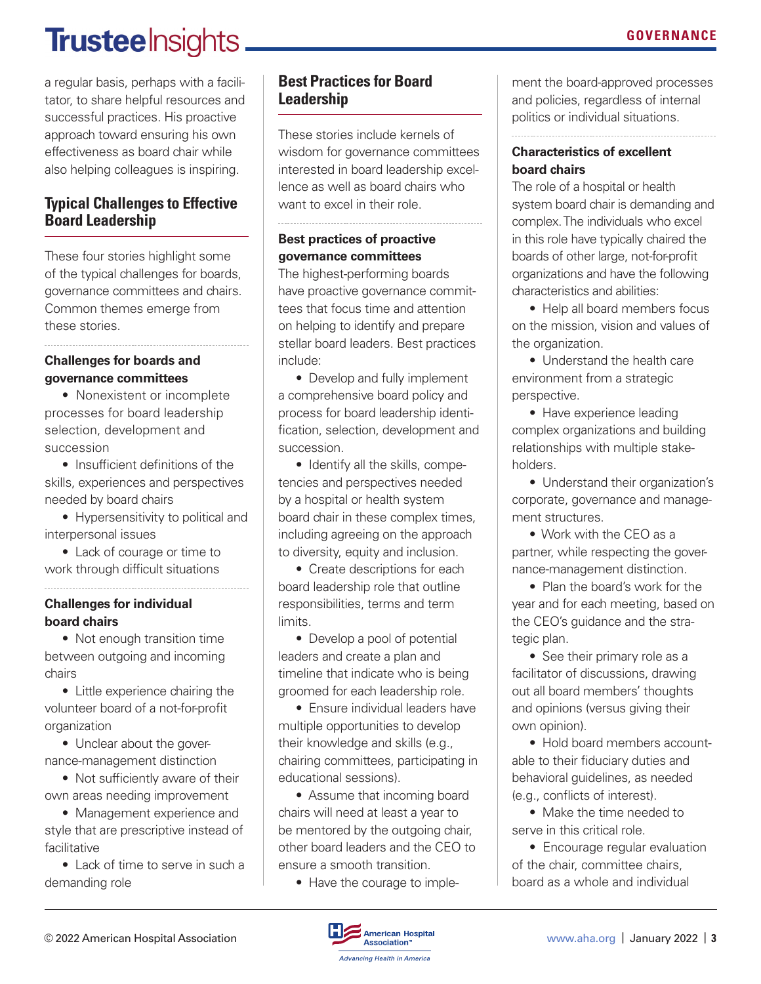## **Trustee** Insights

a regular basis, perhaps with a facilitator, to share helpful resources and successful practices. His proactive approach toward ensuring his own effectiveness as board chair while also helping colleagues is inspiring.

#### **Typical Challenges to Effective Board Leadership**

These four stories highlight some of the typical challenges for boards, governance committees and chairs. Common themes emerge from these stories.

#### **Challenges for boards and governance committees**

• Nonexistent or incomplete processes for board leadership selection, development and succession

• Insufficient definitions of the skills, experiences and perspectives needed by board chairs

• Hypersensitivity to political and interpersonal issues

• Lack of courage or time to work through difficult situations

#### **Challenges for individual board chairs**

• Not enough transition time between outgoing and incoming chairs

• Little experience chairing the volunteer board of a not-for-profit organization

• Unclear about the governance-management distinction

• Not sufficiently aware of their own areas needing improvement

• Management experience and style that are prescriptive instead of facilitative

• Lack of time to serve in such a demanding role

#### **Best Practices for Board Leadership**

These stories include kernels of wisdom for governance committees interested in board leadership excellence as well as board chairs who want to excel in their role.

#### **Best practices of proactive governance committees**

The highest-performing boards have proactive governance committees that focus time and attention on helping to identify and prepare stellar board leaders. Best practices include:

• Develop and fully implement a comprehensive board policy and process for board leadership identification, selection, development and succession.

• Identify all the skills, competencies and perspectives needed by a hospital or health system board chair in these complex times, including agreeing on the approach to diversity, equity and inclusion.

• Create descriptions for each board leadership role that outline responsibilities, terms and term limits.

• Develop a pool of potential leaders and create a plan and timeline that indicate who is being groomed for each leadership role.

• Ensure individual leaders have multiple opportunities to develop their knowledge and skills (e.g., chairing committees, participating in educational sessions).

• Assume that incoming board chairs will need at least a year to be mentored by the outgoing chair. other board leaders and the CEO to ensure a smooth transition.

• Have the courage to imple-

ment the board-approved processes and policies, regardless of internal politics or individual situations.

#### **Characteristics of excellent board chairs**

The role of a hospital or health system board chair is demanding and complex. The individuals who excel in this role have typically chaired the boards of other large, not-for-profit organizations and have the following characteristics and abilities:

• Help all board members focus on the mission, vision and values of the organization.

• Understand the health care environment from a strategic perspective.

• Have experience leading complex organizations and building relationships with multiple stakeholders.

• Understand their organization's corporate, governance and management structures.

• Work with the CEO as a partner, while respecting the governance-management distinction.

• Plan the board's work for the year and for each meeting, based on the CEO's guidance and the strategic plan.

• See their primary role as a facilitator of discussions, drawing out all board members' thoughts and opinions (versus giving their own opinion).

• Hold board members accountable to their fiduciary duties and behavioral guidelines, as needed (e.g., conflicts of interest).

• Make the time needed to serve in this critical role.

• Encourage regular evaluation of the chair, committee chairs, board as a whole and individual